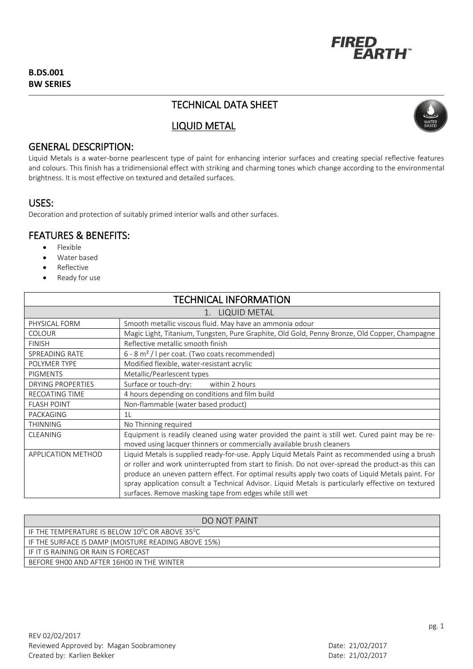

## **B.DS.001 BW SERIES**

# TECHNICAL DATA SHEET

LIQUID METAL



## GENERAL DESCRIPTION:

Liquid Metals is a water-borne pearlescent type of paint for enhancing interior surfaces and creating special reflective features and colours. This finish has a tridimensional effect with striking and charming tones which change according to the environmental brightness. It is most effective on textured and detailed surfaces.

## USES:

Decoration and protection of suitably primed interior walls and other surfaces.

## FEATURES & BENEFITS:

- Flexible
- Water based
- Reflective
- Ready for use

| <b>TECHNICAL INFORMATION</b> |                                                                                                                                                                                                      |
|------------------------------|------------------------------------------------------------------------------------------------------------------------------------------------------------------------------------------------------|
| 1. LIQUID METAL              |                                                                                                                                                                                                      |
| PHYSICAL FORM                | Smooth metallic viscous fluid. May have an ammonia odour                                                                                                                                             |
| <b>COLOUR</b>                | Magic Light, Titanium, Tungsten, Pure Graphite, Old Gold, Penny Bronze, Old Copper, Champagne                                                                                                        |
| <b>FINISH</b>                | Reflective metallic smooth finish                                                                                                                                                                    |
| <b>SPREADING RATE</b>        | $6 - 8$ m <sup>2</sup> / I per coat. (Two coats recommended)                                                                                                                                         |
| POLYMER TYPE                 | Modified flexible, water-resistant acrylic                                                                                                                                                           |
| <b>PIGMENTS</b>              | Metallic/Pearlescent types                                                                                                                                                                           |
| <b>DRYING PROPERTIES</b>     | Surface or touch-dry:<br>within 2 hours                                                                                                                                                              |
| <b>RECOATING TIME</b>        | 4 hours depending on conditions and film build                                                                                                                                                       |
| <b>FLASH POINT</b>           | Non-flammable (water based product)                                                                                                                                                                  |
| PACKAGING                    | 11                                                                                                                                                                                                   |
| <b>THINNING</b>              | No Thinning required                                                                                                                                                                                 |
| <b>CLEANING</b>              | Equipment is readily cleaned using water provided the paint is still wet. Cured paint may be re-<br>moved using lacquer thinners or commercially available brush cleaners                            |
| <b>APPLICATION METHOD</b>    |                                                                                                                                                                                                      |
|                              | Liquid Metals is supplied ready-for-use. Apply Liquid Metals Paint as recommended using a brush<br>or roller and work uninterrupted from start to finish. Do not over-spread the product-as this can |
|                              | produce an uneven pattern effect. For optimal results apply two coats of Liquid Metals paint. For                                                                                                    |
|                              | spray application consult a Technical Advisor. Liquid Metals is particularly effective on textured                                                                                                   |
|                              | surfaces. Remove masking tape from edges while still wet                                                                                                                                             |

| DO NOT PAINT                                                             |
|--------------------------------------------------------------------------|
| IF THE TEMPERATURE IS BELOW 10 <sup>0</sup> C OR ABOVE 35 <sup>0</sup> C |
| IF THE SURFACE IS DAMP (MOISTURE READING ABOVE 15%)                      |
| IF IT IS RAINING OR RAIN IS FORECAST                                     |
| BEFORE 9H00 AND AFTER 16H00 IN THE WINTER                                |
|                                                                          |